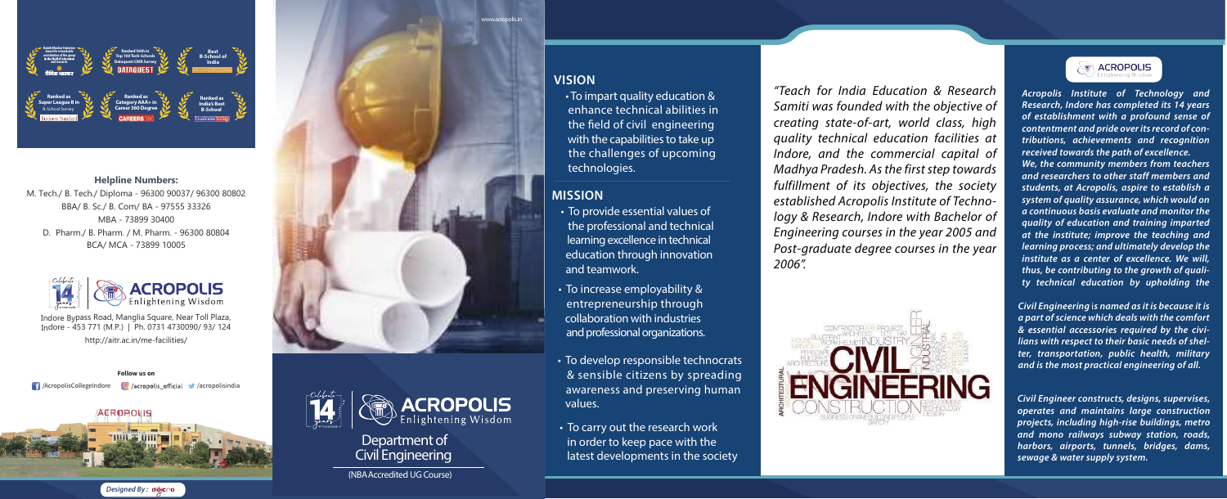*"Teach for India Education & Research Samiti was founded with the objective of creating state-of-art, world class, high quality technical education facilities at Indore, and the commercial capital of Madhya Pradesh. As the first step towards fulfillment of its objectives, the society established Acropolis Institute of Technology & Research, Indore with Bachelor of Engineering courses in the year 2005 and Post-graduate degree courses in the year 2006".* 





*Acropolis Institute of Technology and Research, Indore has completed its 14 years of establishment with a profound sense of contentment and pride over its record of contributions, achievements and recognition received towards the path of excellence. We, the community members from teachers and researchers to other staff members and students, at Acropolis, aspire to establish a system of quality assurance, which would on a continuous basis evaluate and monitor the quality of education and training imparted at the institute; improve the teaching and learning process; and ultimately develop the institute as a center of excellence. We will, thus, be contributing to the growth of quality technical education by upholding the* 

*Civil Engineering* i*s named as it is because it is a part of science which deals with the comfort & essential accessories required by the civilians with respect to their basic needs of shelter, transportation, public health, military and is the most practical engineering of all.* 

*Civil Engineer constructs, designs, supervises, operates and maintains large construction projects, including high-rise buildings, metro and mono railways subway station, roads, harbors, airports, tunnels, bridges, dams, sewage & water supply system.* 

• To develop responsible technocrats & sensible citizens by spreading awareness and preserving human values.

• To carry out the research work in order to keep pace with the latest developments in the society

## **MISSION**

• To provide essential values of the professional and technical learning excellence in technical education through innovation and teamwork.

• To increase employability & entrepreneurship through collaboration with industries and professional organizations.

• To impart quality education & enhance technical abilities in the field of civil engineering with the capabilities to take up the challenges of upcoming technologies.

## **VISION**

#### **Helpline Numbers:**

M. Tech./ B. Tech./ Diploma - 96300 90037/ 96300 80802 BBA/ B. Sc./ B. Com/ BA - 97555 33326 MBA - 73899 30400 D. Pharm./ B. Pharm. / M. Pharm. - 96300 80804 BCA/ MCA - 73899 10005



**Follow us on**

# **Department of Civil Engineering**

Indore Bypass Road, Manglia Square, Near Toll Plaza, Indore - 453 771 (M.P.) | Ph. 0731 4730090/ 93/ 124 http://aitr.ac.in/me-facilities/











**(NBA Accredited UG Course)**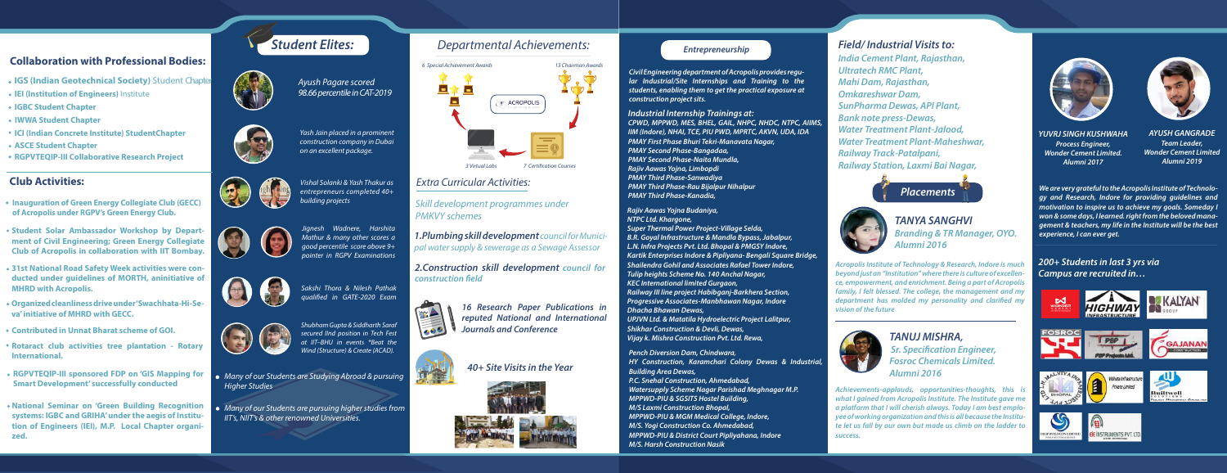- **IGS (Indian Geotechnical Society)** Student Chapter
- **IEI (Institution of Engineers)** Institute
- **IGBC Student Chapter**
- **IWWA Student Chapter**
- **ICI (Indian Concrete Institute) StudentChapter**
- **ASCE Student Chapter**
- **RGPVTEQIP-III Collaborative Research Project**

## **Collaboration with Professional Bodies:**

## **Club Activities:**

- **Inauguration of Green Energy Collegiate Club (GECC) of Acropolis under RGPV's Green Energy Club.**
- **Student Solar Ambassador Workshop by Department of Civil Engineering; Green Energy Collegiate Club of Acropolis in collaboration with IIT Bombay.**
- **31st National Road Safety Week activities were conducted under guidelines of MORTH, aninitiative of MHRD with Acropolis.**
- **Organized cleanliness drive under 'Swachhata-Hi-Seva' initiative of MHRD with GECC.**
- **Contributed in Unnat Bharat scheme of GOI.**
- **Rotaract club activities tree plantation Rotary International.**
- **RGPVTEQIP-III sponsored FDP on 'GIS Mapping for Smart Development' successfully conducted**
- **National Seminar on 'Green Building Recognition systems: IGBC and GRIHA' under the aegis of Institution of Engineers (IEI), M.P. Local Chapter organized.**

*2.Construction skill development council for*  **construction field** 



# *Departmental Achievements:*

## *Extra Curricular Activities:*

*Ayush Pagare scored* 

*98.66 percentile in CAT-2019*



*Yash Jain placed in a prominent construction company in Dubai on an excellent package.*



*Vishal Solanki & Yash Thakur as entrepreneurs completed 40+ building projects*



# *Student Elites:*





*Jignesh Wadnere, Harshita Mathur & many other scores a good percentile score above 9+ pointer in RGPV Examinations*



*Sakshi Thora & Nilesh Pathak qualied in GATE-2020 Exam*



*Shubham Gupta & Siddharth Saraf secured IInd position in Tech Fest at IIT–BHU in events \*Beat the Wind (Structure) & Create (ACAD).*

- *Many of our Students are Studying Abroad & pursuing Higher Studies*
- *Many of our Students are pursuing higher studies from IIT's, NIIT's & other renowned Universities.*

*1.Plumbing skill development council for Municipal water supply & sewerage as a Sewage Assessor* 

> *16 Research Paper Publications in reputed National and International Journals and Conference*



*40+ Site Visits in the Year*







*Skill development programmes under PMKVY schemes* 

*Civil Engineering department of Acropolis provides regular Industrial/Site Internships and Training to the students, enabling them to get the practical exposure at construction project sits.* 

#### *Industrial Internship Trainings at:*

*CPWD, MPPWD, MES, BHEL, GAIL, NHPC, NHDC, NTPC, AIIMS, IIM (Indore), NHAI, TCE, PIU PWD, MPRTC, AKVN, UDA, IDA PMAY First Phase Bhuri Tekri-Manavata Nagar, PMAY Second Phase-Bangadaa, PMAY Second Phase-Naita Mundla, Rajiv Aawas Yojna, Limbopdi PMAY Third Phase-Sanwadiya PMAY Third Phase-Rau Bijalpur Nihalpur PMAY Third Phase-Kanadia,* 

*Rajiv Aawas Yojna Budaniya, NTPC Ltd. Khargone, Super Thermal Power Project-Village Selda, B.R. Goyal Infrastructure & Mandla Bypass, Jabalpur, L.N. Infra Projects Pvt. Ltd. Bhopal & PMGSY Indore, Kartik Enterprises Indore & Pipliyana- Bengali Square Bridge, Shailendra Gohil and Associates Rafael Tower Indore, Tulip heights Scheme No. 140 Anchal Nagar, KEC International limited Gurgaon, Railway III line project Habibganj-Barkhera Section, Progressive Associates-Manbhawan Nagar, Indore Dhacha Bhawan Dewas, UPJVN Ltd. & Matatila Hydroelectric Project Lalitpur, Shikhar Construction & Devli, Dewas, Vijay k. Mishra Construction Pvt. Ltd. Rewa,*

*Pench Diversion Dam, Chindwara, HY Construction, Karamchari Colony Dewas & Industrial, Building Area Dewas, P.C. Snehal Construction, Ahmedabad, Watersupply Scheme Nagar Parishad Meghnagar M.P. MPPWD-PIU & SGSITS Hostel Building, M/S Laxmi Construction Bhopal, MPPWD-PIU & MGM Medical College, Indore, M/S. Yogi Construction Co. Ahmedabad, MPPWD-PIU & District Court Pipliyahana, Indore M/S. Harsh Construction Nasik*

#### *Entrepreneurship*

*India Cement Plant, Rajasthan, Ultratech RMC Plant, Mahi Dam, Rajasthan, Omkareshwar Dam, SunPharma Dewas, API Plant, Bank note press-Dewas, Water Treatment Plant-Jalood, Water Treatment Plant-Maheshwar, Railway Track-Patalpani, Railway Station, Laxmi Bai Nagar,* 



## *Field/ Industrial Visits to:*

### *TANYA SANGHVI Branding & TR Manager, OYO. Alumni 2016*

*Acropolis Institute of Technology & Research, Indore is much beyond just an "Institution" where there is culture of excellence, empowerment, and enrichment. Being a part of Acropolis family, I felt blessed. The college, the management and my*  department has molded my personality and clarified my *vision of the future*

### *TANUJ MISHRA,*  **Sr. Specification Engineer,** *Fosroc Chemicals Limited. Alumni 2016*

*Achievements-applauds, opportunities-thoughts, this is what I gained from Acropolis Institute. The Institute gave me a platform that I will cherish always. Today I am best employee of working organization and this is all because the Institute let us fall by our own but made us climb on the ladder to success.*





*YUVRJ SINGH KUSHWAHA Process Engineer, Wonder Cement Limited. Alumni 2017*

*AYUSH GANGRADE Team Leader, Wonder Cement Limited Alumni 2019*

*We are very grateful to the Acropolis Institute of Technology and Research, Indore for providing guidelines and motivation to inspire us to achieve my goals. Someday I won & some days, I learned. right from the beloved management & teachers, my life in the Institute will be the best* 

*experience, I can ever get.*

#### *200+ Students in last 3 yrs via Campus are recruited in…*









*Placements*